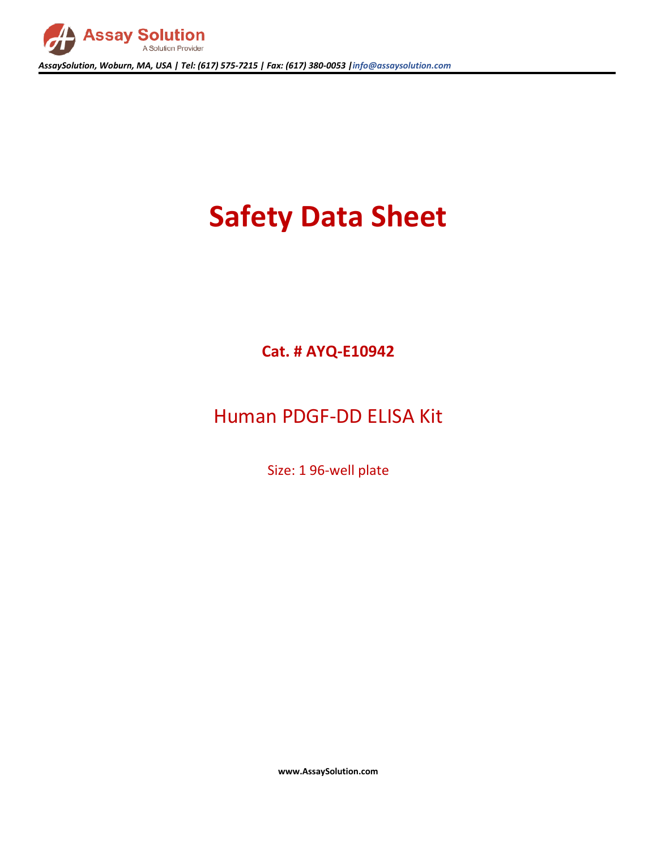

*AssaySolution, Woburn, MA, USA | Tel: (617) 575-7215 | Fax: (617) 380-0053 |info@assaysolution.com*

# **Safety Data Sheet**

**Cat. # AYQ-E10942**

## Human PDGF-DD ELISA Kit

Size: 1 96-well plate

**www.AssaySolution.com**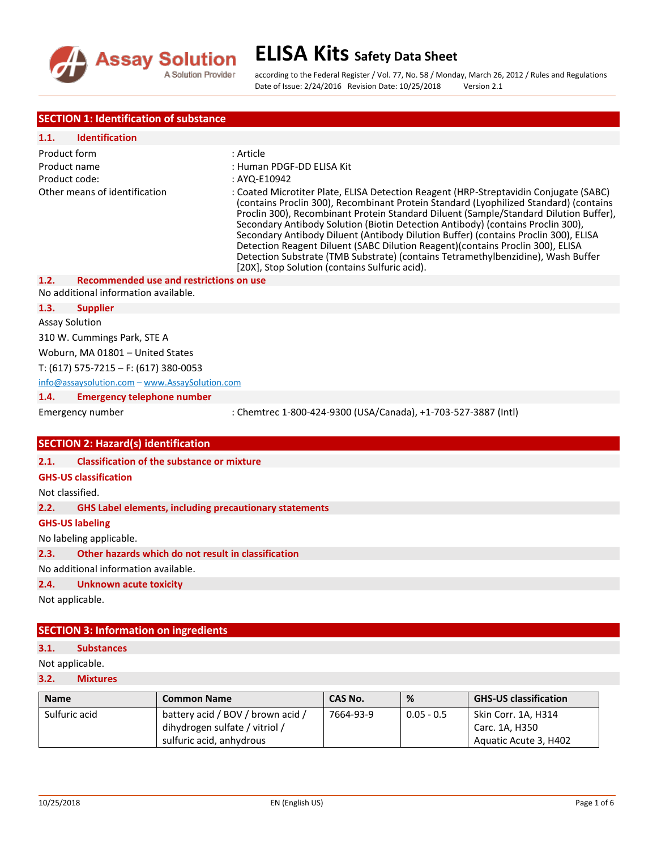

according to the Federal Register / Vol. 77, No. 58 / Monday, March 26, 2012 / Rules and Regulations Date of Issue: 2/24/2016 Revision Date: 10/25/2018 Version 2.1

## **SECTION 1: Identification of substance**

| 1.1.                             | <b>Identification</b>                             |                                                                                                                                                                                                                                                                                                                                                                                                                                                                                                                                                                                                                                                                            |  |  |
|----------------------------------|---------------------------------------------------|----------------------------------------------------------------------------------------------------------------------------------------------------------------------------------------------------------------------------------------------------------------------------------------------------------------------------------------------------------------------------------------------------------------------------------------------------------------------------------------------------------------------------------------------------------------------------------------------------------------------------------------------------------------------------|--|--|
| Product form                     |                                                   | : Article                                                                                                                                                                                                                                                                                                                                                                                                                                                                                                                                                                                                                                                                  |  |  |
| Product name                     |                                                   | : Human PDGF-DD ELISA Kit                                                                                                                                                                                                                                                                                                                                                                                                                                                                                                                                                                                                                                                  |  |  |
| Product code:                    |                                                   | : AYQ-E10942                                                                                                                                                                                                                                                                                                                                                                                                                                                                                                                                                                                                                                                               |  |  |
|                                  | Other means of identification                     | : Coated Microtiter Plate, ELISA Detection Reagent (HRP-Streptavidin Conjugate (SABC)<br>(contains Proclin 300), Recombinant Protein Standard (Lyophilized Standard) (contains<br>Proclin 300), Recombinant Protein Standard Diluent (Sample/Standard Dilution Buffer),<br>Secondary Antibody Solution (Biotin Detection Antibody) (contains Proclin 300),<br>Secondary Antibody Diluent (Antibody Dilution Buffer) (contains Proclin 300), ELISA<br>Detection Reagent Diluent (SABC Dilution Reagent) (contains Proclin 300), ELISA<br>Detection Substrate (TMB Substrate) (contains Tetramethylbenzidine), Wash Buffer<br>[20X], Stop Solution (contains Sulfuric acid). |  |  |
| 1.2.                             | <b>Recommended use and restrictions on use</b>    |                                                                                                                                                                                                                                                                                                                                                                                                                                                                                                                                                                                                                                                                            |  |  |
|                                  | No additional information available.              |                                                                                                                                                                                                                                                                                                                                                                                                                                                                                                                                                                                                                                                                            |  |  |
| 1.3.                             | <b>Supplier</b>                                   |                                                                                                                                                                                                                                                                                                                                                                                                                                                                                                                                                                                                                                                                            |  |  |
| <b>Assay Solution</b>            |                                                   |                                                                                                                                                                                                                                                                                                                                                                                                                                                                                                                                                                                                                                                                            |  |  |
|                                  | 310 W. Cummings Park, STE A                       |                                                                                                                                                                                                                                                                                                                                                                                                                                                                                                                                                                                                                                                                            |  |  |
| Woburn, MA 01801 - United States |                                                   |                                                                                                                                                                                                                                                                                                                                                                                                                                                                                                                                                                                                                                                                            |  |  |
|                                  | T: $(617)$ 575-7215 - F: $(617)$ 380-0053         |                                                                                                                                                                                                                                                                                                                                                                                                                                                                                                                                                                                                                                                                            |  |  |
|                                  | info@assaysolution.com - www.AssaySolution.com    |                                                                                                                                                                                                                                                                                                                                                                                                                                                                                                                                                                                                                                                                            |  |  |
| 1.4.                             | <b>Emergency telephone number</b>                 |                                                                                                                                                                                                                                                                                                                                                                                                                                                                                                                                                                                                                                                                            |  |  |
|                                  | Emergency number                                  | : Chemtrec 1-800-424-9300 (USA/Canada), +1-703-527-3887 (Intl)                                                                                                                                                                                                                                                                                                                                                                                                                                                                                                                                                                                                             |  |  |
|                                  | <b>SECTION 2: Hazard(s) identification</b>        |                                                                                                                                                                                                                                                                                                                                                                                                                                                                                                                                                                                                                                                                            |  |  |
| 2.1.                             | <b>Classification of the substance or mixture</b> |                                                                                                                                                                                                                                                                                                                                                                                                                                                                                                                                                                                                                                                                            |  |  |
|                                  |                                                   |                                                                                                                                                                                                                                                                                                                                                                                                                                                                                                                                                                                                                                                                            |  |  |

## **GHS-US classification**

Not classified.

**2.2. GHS Label elements, including precautionary statements**

#### **GHS-US labeling**

No labeling applicable.

**2.3. Other hazards which do not result in classification**

No additional information available.

**2.4. Unknown acute toxicity** 

Not applicable.

## **SECTION 3: Information on ingredients**

#### **3.1. Substances**

Not applicable.

## **3.2. Mixtures**

| <b>Name</b>   | <b>Common Name</b>                | CAS No.   | %            | <b>GHS-US classification</b> |
|---------------|-----------------------------------|-----------|--------------|------------------------------|
| Sulfuric acid | battery acid / BOV / brown acid / | 7664-93-9 | $0.05 - 0.5$ | Skin Corr. 1A, H314          |
|               | dihydrogen sulfate / vitriol /    |           |              | Carc. 1A, H350               |
|               | sulfuric acid, anhydrous          |           |              | Aquatic Acute 3, H402        |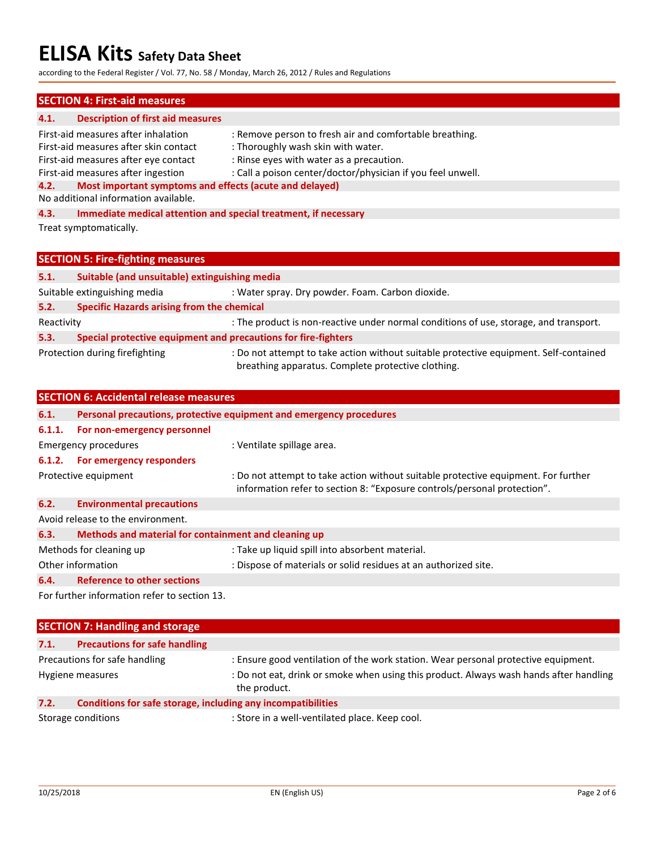according to the Federal Register / Vol. 77, No. 58 / Monday, March 26, 2012 / Rules and Regulations

## **SECTION 4: First-aid measures**

## **4.1. Description of first aid measures**

| First-aid measures after inhalation                             | : Remove person to fresh air and comfortable breathing.         |  |  |
|-----------------------------------------------------------------|-----------------------------------------------------------------|--|--|
| First-aid measures after skin contact                           | : Thoroughly wash skin with water.                              |  |  |
| First-aid measures after eye contact                            | : Rinse eyes with water as a precaution.                        |  |  |
| First-aid measures after ingestion                              | : Call a poison center/doctor/physician if you feel unwell.     |  |  |
| Most important symptoms and effects (acute and delayed)<br>4.2. |                                                                 |  |  |
| No additional information available.                            |                                                                 |  |  |
| 4.3.                                                            | Immediate medical attention and special treatment, if necessary |  |  |
| Treat symptomatically.                                          |                                                                 |  |  |
|                                                                 |                                                                 |  |  |
| <b>SECTION 5: Fire-fighting measures</b>                        |                                                                 |  |  |

| 5.1.                         | Suitable (and unsuitable) extinguishing media                  |                                                                                                                                             |  |
|------------------------------|----------------------------------------------------------------|---------------------------------------------------------------------------------------------------------------------------------------------|--|
| Suitable extinguishing media |                                                                | : Water spray. Dry powder. Foam. Carbon dioxide.                                                                                            |  |
| 5.2.                         | <b>Specific Hazards arising from the chemical</b>              |                                                                                                                                             |  |
| Reactivity                   |                                                                | : The product is non-reactive under normal conditions of use, storage, and transport.                                                       |  |
| 5.3.                         | Special protective equipment and precautions for fire-fighters |                                                                                                                                             |  |
|                              | Protection during firefighting                                 | : Do not attempt to take action without suitable protective equipment. Self-contained<br>breathing apparatus. Complete protective clothing. |  |

|        | <b>SECTION 6: Accidental release measures</b>        |                                                                                                                                                                |
|--------|------------------------------------------------------|----------------------------------------------------------------------------------------------------------------------------------------------------------------|
| 6.1.   |                                                      | Personal precautions, protective equipment and emergency procedures                                                                                            |
| 6.1.1. | For non-emergency personnel                          |                                                                                                                                                                |
|        | Emergency procedures                                 | : Ventilate spillage area.                                                                                                                                     |
|        | 6.1.2. For emergency responders                      |                                                                                                                                                                |
|        | Protective equipment                                 | : Do not attempt to take action without suitable protective equipment. For further<br>information refer to section 8: "Exposure controls/personal protection". |
| 6.2.   | <b>Environmental precautions</b>                     |                                                                                                                                                                |
|        | Avoid release to the environment.                    |                                                                                                                                                                |
| 6.3.   | Methods and material for containment and cleaning up |                                                                                                                                                                |
|        | Methods for cleaning up                              | : Take up liquid spill into absorbent material.                                                                                                                |
|        | Other information                                    | : Dispose of materials or solid residues at an authorized site.                                                                                                |
| 6.4.   | <b>Reference to other sections</b>                   |                                                                                                                                                                |

For further information refer to section 13.

|                    | <b>SECTION 7: Handling and storage</b>                       |                                                                                                        |  |  |  |
|--------------------|--------------------------------------------------------------|--------------------------------------------------------------------------------------------------------|--|--|--|
| 7.1.               | <b>Precautions for safe handling</b>                         |                                                                                                        |  |  |  |
|                    | Precautions for safe handling                                | : Ensure good ventilation of the work station. Wear personal protective equipment.                     |  |  |  |
|                    | Hygiene measures                                             | : Do not eat, drink or smoke when using this product. Always wash hands after handling<br>the product. |  |  |  |
| 7.2.               | Conditions for safe storage, including any incompatibilities |                                                                                                        |  |  |  |
| Storage conditions |                                                              | : Store in a well-ventilated place. Keep cool.                                                         |  |  |  |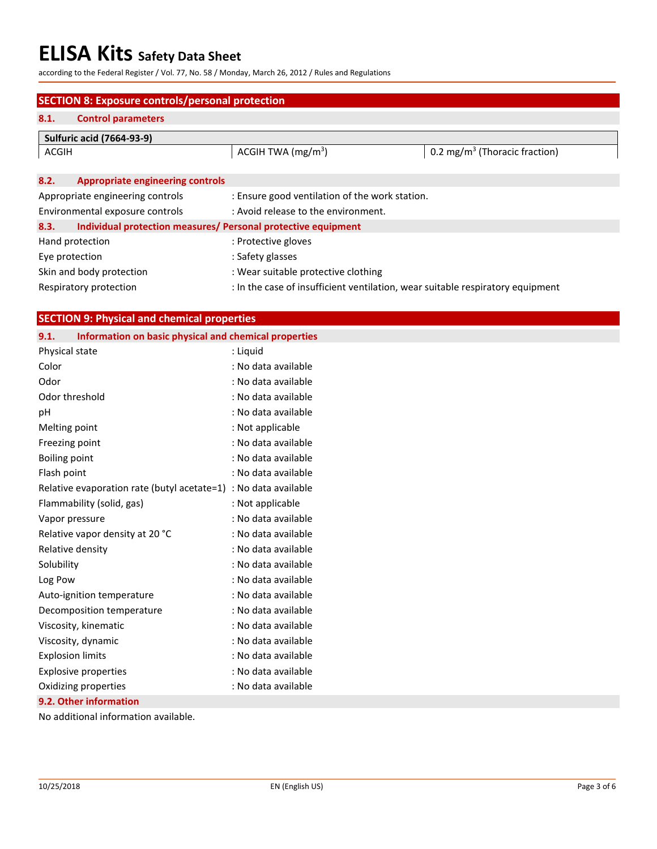according to the Federal Register / Vol. 77, No. 58 / Monday, March 26, 2012 / Rules and Regulations

|                        | <b>SECTION 8: Exposure controls/personal protection</b>       |                                                                                |                                           |  |  |
|------------------------|---------------------------------------------------------------|--------------------------------------------------------------------------------|-------------------------------------------|--|--|
| 8.1.                   | <b>Control parameters</b>                                     |                                                                                |                                           |  |  |
|                        | <b>Sulfuric acid (7664-93-9)</b>                              |                                                                                |                                           |  |  |
| ACGIH                  |                                                               | ACGIH TWA $(mg/m3)$                                                            | 0.2 mg/m <sup>3</sup> (Thoracic fraction) |  |  |
|                        |                                                               |                                                                                |                                           |  |  |
| 8.2.                   | <b>Appropriate engineering controls</b>                       |                                                                                |                                           |  |  |
|                        | Appropriate engineering controls                              | : Ensure good ventilation of the work station.                                 |                                           |  |  |
|                        | Environmental exposure controls                               | : Avoid release to the environment.                                            |                                           |  |  |
| 8.3.                   | Individual protection measures/ Personal protective equipment |                                                                                |                                           |  |  |
|                        | Hand protection                                               | : Protective gloves                                                            |                                           |  |  |
| Eye protection         |                                                               | : Safety glasses                                                               |                                           |  |  |
|                        | Skin and body protection                                      | : Wear suitable protective clothing                                            |                                           |  |  |
| Respiratory protection |                                                               | : In the case of insufficient ventilation, wear suitable respiratory equipment |                                           |  |  |

| Information on basic physical and chemical properties<br>9.1.<br>Physical state<br>: Liquid<br>Color<br>: No data available<br>Odor<br>: No data available<br>Odor threshold<br>: No data available<br>: No data available<br>pH<br>: Not applicable<br>Melting point<br>: No data available<br>Freezing point<br>: No data available<br>Boiling point<br>Flash point<br>: No data available<br>Relative evaporation rate (butyl acetate=1) : No data available<br>: Not applicable<br>Flammability (solid, gas)<br>: No data available<br>Vapor pressure<br>Relative vapor density at 20 °C<br>: No data available<br>Relative density<br>: No data available<br>: No data available<br>Solubility<br>: No data available<br>Log Pow<br>: No data available<br>Auto-ignition temperature<br>: No data available<br>Decomposition temperature<br>: No data available<br>Viscosity, kinematic<br>: No data available<br>Viscosity, dynamic<br>: No data available<br><b>Explosion limits</b><br>: No data available | <b>SECTION 9: Physical and chemical properties</b> |  |  |  |  |
|--------------------------------------------------------------------------------------------------------------------------------------------------------------------------------------------------------------------------------------------------------------------------------------------------------------------------------------------------------------------------------------------------------------------------------------------------------------------------------------------------------------------------------------------------------------------------------------------------------------------------------------------------------------------------------------------------------------------------------------------------------------------------------------------------------------------------------------------------------------------------------------------------------------------------------------------------------------------------------------------------------------------|----------------------------------------------------|--|--|--|--|
|                                                                                                                                                                                                                                                                                                                                                                                                                                                                                                                                                                                                                                                                                                                                                                                                                                                                                                                                                                                                                    |                                                    |  |  |  |  |
|                                                                                                                                                                                                                                                                                                                                                                                                                                                                                                                                                                                                                                                                                                                                                                                                                                                                                                                                                                                                                    |                                                    |  |  |  |  |
|                                                                                                                                                                                                                                                                                                                                                                                                                                                                                                                                                                                                                                                                                                                                                                                                                                                                                                                                                                                                                    |                                                    |  |  |  |  |
|                                                                                                                                                                                                                                                                                                                                                                                                                                                                                                                                                                                                                                                                                                                                                                                                                                                                                                                                                                                                                    |                                                    |  |  |  |  |
|                                                                                                                                                                                                                                                                                                                                                                                                                                                                                                                                                                                                                                                                                                                                                                                                                                                                                                                                                                                                                    |                                                    |  |  |  |  |
|                                                                                                                                                                                                                                                                                                                                                                                                                                                                                                                                                                                                                                                                                                                                                                                                                                                                                                                                                                                                                    |                                                    |  |  |  |  |
|                                                                                                                                                                                                                                                                                                                                                                                                                                                                                                                                                                                                                                                                                                                                                                                                                                                                                                                                                                                                                    |                                                    |  |  |  |  |
|                                                                                                                                                                                                                                                                                                                                                                                                                                                                                                                                                                                                                                                                                                                                                                                                                                                                                                                                                                                                                    |                                                    |  |  |  |  |
|                                                                                                                                                                                                                                                                                                                                                                                                                                                                                                                                                                                                                                                                                                                                                                                                                                                                                                                                                                                                                    |                                                    |  |  |  |  |
|                                                                                                                                                                                                                                                                                                                                                                                                                                                                                                                                                                                                                                                                                                                                                                                                                                                                                                                                                                                                                    |                                                    |  |  |  |  |
|                                                                                                                                                                                                                                                                                                                                                                                                                                                                                                                                                                                                                                                                                                                                                                                                                                                                                                                                                                                                                    |                                                    |  |  |  |  |
|                                                                                                                                                                                                                                                                                                                                                                                                                                                                                                                                                                                                                                                                                                                                                                                                                                                                                                                                                                                                                    |                                                    |  |  |  |  |
|                                                                                                                                                                                                                                                                                                                                                                                                                                                                                                                                                                                                                                                                                                                                                                                                                                                                                                                                                                                                                    |                                                    |  |  |  |  |
|                                                                                                                                                                                                                                                                                                                                                                                                                                                                                                                                                                                                                                                                                                                                                                                                                                                                                                                                                                                                                    |                                                    |  |  |  |  |
|                                                                                                                                                                                                                                                                                                                                                                                                                                                                                                                                                                                                                                                                                                                                                                                                                                                                                                                                                                                                                    |                                                    |  |  |  |  |
|                                                                                                                                                                                                                                                                                                                                                                                                                                                                                                                                                                                                                                                                                                                                                                                                                                                                                                                                                                                                                    |                                                    |  |  |  |  |
|                                                                                                                                                                                                                                                                                                                                                                                                                                                                                                                                                                                                                                                                                                                                                                                                                                                                                                                                                                                                                    |                                                    |  |  |  |  |
|                                                                                                                                                                                                                                                                                                                                                                                                                                                                                                                                                                                                                                                                                                                                                                                                                                                                                                                                                                                                                    |                                                    |  |  |  |  |
|                                                                                                                                                                                                                                                                                                                                                                                                                                                                                                                                                                                                                                                                                                                                                                                                                                                                                                                                                                                                                    |                                                    |  |  |  |  |
|                                                                                                                                                                                                                                                                                                                                                                                                                                                                                                                                                                                                                                                                                                                                                                                                                                                                                                                                                                                                                    |                                                    |  |  |  |  |
|                                                                                                                                                                                                                                                                                                                                                                                                                                                                                                                                                                                                                                                                                                                                                                                                                                                                                                                                                                                                                    |                                                    |  |  |  |  |
|                                                                                                                                                                                                                                                                                                                                                                                                                                                                                                                                                                                                                                                                                                                                                                                                                                                                                                                                                                                                                    |                                                    |  |  |  |  |
|                                                                                                                                                                                                                                                                                                                                                                                                                                                                                                                                                                                                                                                                                                                                                                                                                                                                                                                                                                                                                    | <b>Explosive properties</b>                        |  |  |  |  |
| Oxidizing properties<br>: No data available                                                                                                                                                                                                                                                                                                                                                                                                                                                                                                                                                                                                                                                                                                                                                                                                                                                                                                                                                                        |                                                    |  |  |  |  |
| 9.2. Other information                                                                                                                                                                                                                                                                                                                                                                                                                                                                                                                                                                                                                                                                                                                                                                                                                                                                                                                                                                                             |                                                    |  |  |  |  |

No additional information available.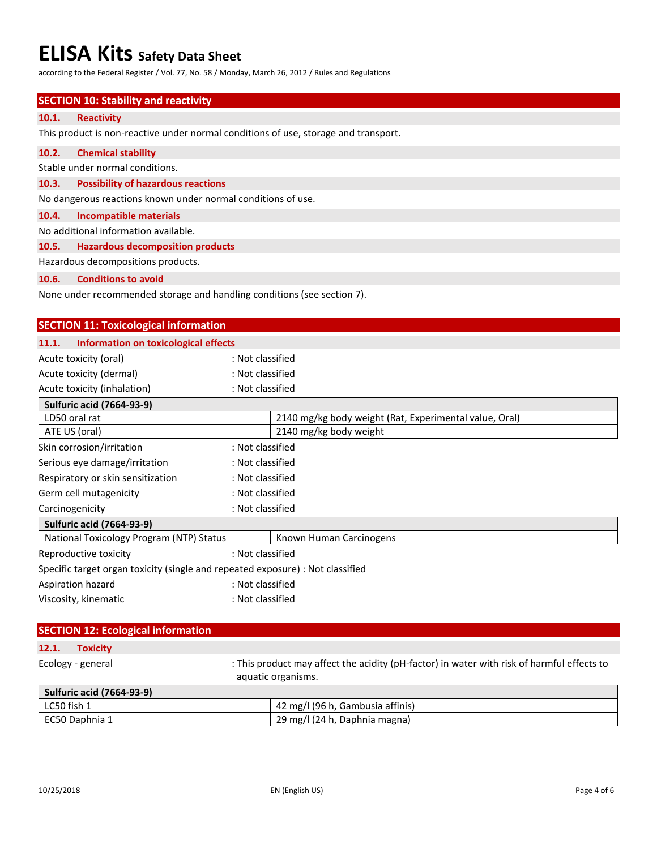according to the Federal Register / Vol. 77, No. 58 / Monday, March 26, 2012 / Rules and Regulations

### **SECTION 10: Stability and reactivity**

## **10.1. Reactivity**

This product is non-reactive under normal conditions of use, storage and transport.

#### **10.2. Chemical stability**

Stable under normal conditions.

#### **10.3. Possibility of hazardous reactions**

No dangerous reactions known under normal conditions of use.

#### **10.4. Incompatible materials**

No additional information available.

## **10.5. Hazardous decomposition products**

Hazardous decompositions products.

#### **10.6. Conditions to avoid**

None under recommended storage and handling conditions (see section 7).

| <b>SECTION 11: Toxicological information</b>                                   |                  |                                                        |  |
|--------------------------------------------------------------------------------|------------------|--------------------------------------------------------|--|
| Information on toxicological effects<br>11.1.                                  |                  |                                                        |  |
| Acute toxicity (oral)                                                          | : Not classified |                                                        |  |
| Acute toxicity (dermal)                                                        | : Not classified |                                                        |  |
| Acute toxicity (inhalation)                                                    | : Not classified |                                                        |  |
| <b>Sulfuric acid (7664-93-9)</b>                                               |                  |                                                        |  |
| LD50 oral rat                                                                  |                  | 2140 mg/kg body weight (Rat, Experimental value, Oral) |  |
| ATE US (oral)                                                                  |                  | 2140 mg/kg body weight                                 |  |
| Skin corrosion/irritation                                                      | : Not classified |                                                        |  |
| Serious eye damage/irritation                                                  | : Not classified |                                                        |  |
| Respiratory or skin sensitization                                              | : Not classified |                                                        |  |
| Germ cell mutagenicity                                                         | : Not classified |                                                        |  |
| Carcinogenicity                                                                | : Not classified |                                                        |  |
| <b>Sulfuric acid (7664-93-9)</b>                                               |                  |                                                        |  |
| National Toxicology Program (NTP) Status                                       |                  | Known Human Carcinogens                                |  |
| Reproductive toxicity                                                          | : Not classified |                                                        |  |
| Specific target organ toxicity (single and repeated exposure) : Not classified |                  |                                                        |  |
| Aspiration hazard                                                              | : Not classified |                                                        |  |
| Viscosity, kinematic                                                           | : Not classified |                                                        |  |

## **SECTION 12: Ecological information**

## **12.1. Toxicity**

Ecology - general : This product may affect the acidity (pH-factor) in water with risk of harmful effects to aquatic organisms. **Sulfuric acid (7664-93-9)**

| LC50 fish 1    | 1 42 mg/l (96 h, Gambusia affinis) |
|----------------|------------------------------------|
| EC50 Daphnia 1 | 29 mg/l (24 h, Daphnia magna)      |
|                |                                    |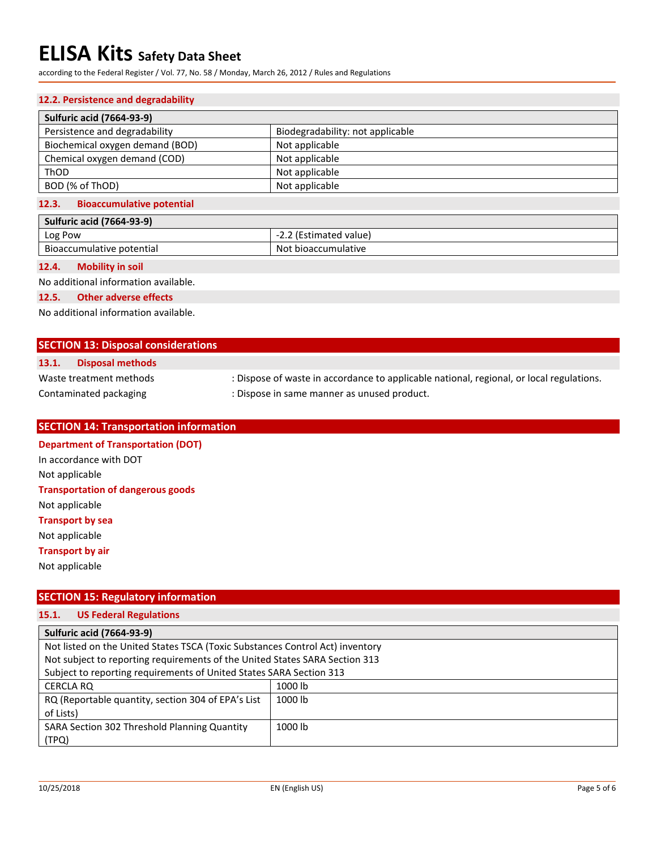according to the Federal Register / Vol. 77, No. 58 / Monday, March 26, 2012 / Rules and Regulations

### **12.2. Persistence and degradability**

| <b>Sulfuric acid (7664-93-9)</b>          |                                  |  |
|-------------------------------------------|----------------------------------|--|
| Persistence and degradability             | Biodegradability: not applicable |  |
| Biochemical oxygen demand (BOD)           | Not applicable                   |  |
| Chemical oxygen demand (COD)              | Not applicable                   |  |
| ThOD                                      | Not applicable                   |  |
| BOD (% of ThOD)                           | Not applicable                   |  |
| <b>Bioaccumulative potential</b><br>12.3. |                                  |  |

| <b>Sulfuric acid (7664-93-9)</b> |                        |  |
|----------------------------------|------------------------|--|
| Log Pow                          | -2.2 (Estimated value) |  |
| Bioaccumulative potential        | Not bioaccumulative    |  |

#### **12.4. Mobility in soil**

No additional information available.

#### **12.5. Other adverse effects**

No additional information available.

## **SECTION 13: Disposal considerations**

## **13.1. Disposal methods**

Waste treatment methods : Dispose of waste in accordance to applicable national, regional, or local regulations.

Contaminated packaging **interpretient in the Solutian Contaminated product.** 

## **SECTION 14: Transportation information**

## **Department of Transportation (DOT)** In accordance with DOT Not applicable

**Transportation of dangerous goods** Not applicable **Transport by sea** Not applicable

## **Transport by air**

Not applicable

## **SECTION 15: Regulatory information**

## **15.1. US Federal Regulations**

| <b>Sulfuric acid (7664-93-9)</b>                                              |         |  |
|-------------------------------------------------------------------------------|---------|--|
| Not listed on the United States TSCA (Toxic Substances Control Act) inventory |         |  |
| Not subject to reporting requirements of the United States SARA Section 313   |         |  |
| Subject to reporting requirements of United States SARA Section 313           |         |  |
| CERCLA RQ                                                                     | 1000 lb |  |
| RQ (Reportable quantity, section 304 of EPA's List                            | 1000 lb |  |
| of Lists)                                                                     |         |  |
| SARA Section 302 Threshold Planning Quantity                                  | 1000 lb |  |
| (TPQ)                                                                         |         |  |